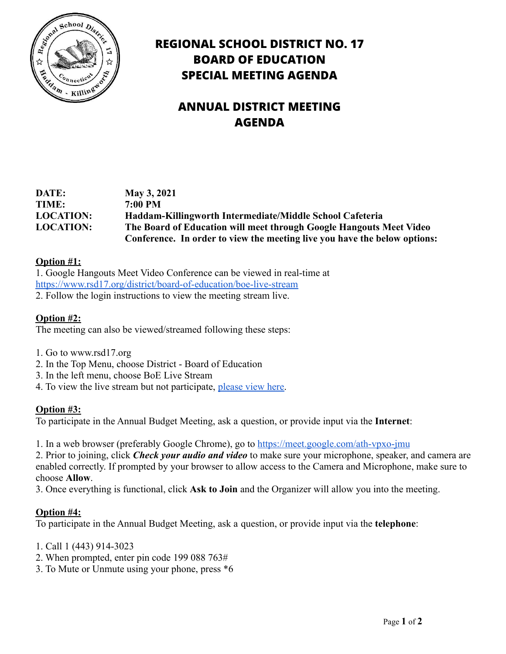

## **REGIONAL SCHOOL DISTRICT NO. 17 BOARD OF EDUCATION SPECIAL MEETING AGENDA**

# **ANNUAL DISTRICT MEETING AGENDA**

| DATE:            | May 3, 2021                                                               |
|------------------|---------------------------------------------------------------------------|
| TIME:            | $7:00$ PM                                                                 |
| <b>LOCATION:</b> | Haddam-Killingworth Intermediate/Middle School Cafeteria                  |
| <b>LOCATION:</b> | The Board of Education will meet through Google Hangouts Meet Video       |
|                  | Conference. In order to view the meeting live you have the below options: |

#### **Option #1:**

1. Google Hangouts Meet Video Conference can be viewed in real-time at <https://www.rsd17.org/district/board-of-education/boe-live-stream> 2. Follow the login instructions to view the meeting stream live.

#### **Option #2:**

The meeting can also be viewed/streamed following these steps:

- 1. Go to www.rsd17.org
- 2. In the Top Menu, choose District Board of Education
- 3. In the left menu, choose BoE Live Stream
- 4. To view the live stream but not participate, please [view here.](https://stream.meet.google.com/stream/49ec1fb7-59ef-4b41-a1d2-4b7c2f2c2eb2)

#### **Option #3:**

To participate in the Annual Budget Meeting, ask a question, or provide input via the **Internet**:

1. In a web browser (preferably Google Chrome), go to <https://meet.google.com/ath-vpxo-jmu>

2. Prior to joining, click *Check your audio and video* to make sure your microphone, speaker, and camera are enabled correctly. If prompted by your browser to allow access to the Camera and Microphone, make sure to choose **Allow**.

3. Once everything is functional, click **Ask to Join** and the Organizer will allow you into the meeting.

#### **Option #4:**

To participate in the Annual Budget Meeting, ask a question, or provide input via the **telephone**:

- 1. Call 1 (443) 914-3023
- 2. When prompted, enter pin code 199 088 763#
- 3. To Mute or Unmute using your phone, press \*6